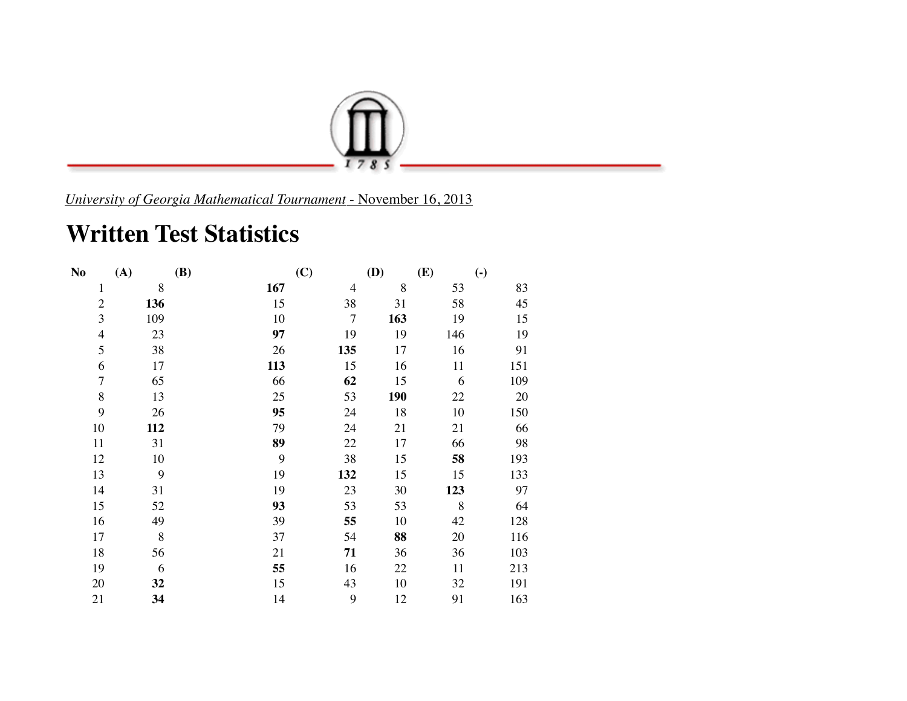

*University of Georgia Mathematical Tournament* - November 16, 2013

## **Written Test Statistics**

| N <sub>o</sub>           | (A) | (B) | (C)            | (D)        | (E) | $\left( \cdot \right)$ |
|--------------------------|-----|-----|----------------|------------|-----|------------------------|
| $\mathbf{1}$             | 8   | 167 | $\overline{4}$ | 8          | 53  | 83                     |
| $\overline{2}$           | 136 | 15  | 38             | 31         | 58  | 45                     |
| 3                        | 109 | 10  | $\tau$         | 163        | 19  | 15                     |
| $\overline{\mathcal{L}}$ | 23  | 97  | 19             | 19         | 146 | 19                     |
| 5                        | 38  | 26  | 135            | 17         | 16  | 91                     |
| 6                        | 17  | 113 | 15             | 16         | 11  | 151                    |
| $\overline{7}$           | 65  | 66  | 62             | 15         | 6   | 109                    |
| 8                        | 13  | 25  | 53             | <b>190</b> | 22  | 20                     |
| 9                        | 26  | 95  | 24             | 18         | 10  | 150                    |
| 10                       | 112 | 79  | 24             | 21         | 21  | 66                     |
| 11                       | 31  | 89  | 22             | 17         | 66  | 98                     |
| 12                       | 10  | 9   | 38             | 15         | 58  | 193                    |
| 13                       | 9   | 19  | 132            | 15         | 15  | 133                    |
| 14                       | 31  | 19  | 23             | 30         | 123 | 97                     |
| 15                       | 52  | 93  | 53             | 53         | 8   | 64                     |
| 16                       | 49  | 39  | 55             | 10         | 42  | 128                    |
| 17                       | 8   | 37  | 54             | 88         | 20  | 116                    |
| 18                       | 56  | 21  | 71             | 36         | 36  | 103                    |
| 19                       | 6   | 55  | 16             | 22         | 11  | 213                    |
| 20                       | 32  | 15  | 43             | 10         | 32  | 191                    |
| 21                       | 34  | 14  | 9              | 12         | 91  | 163                    |